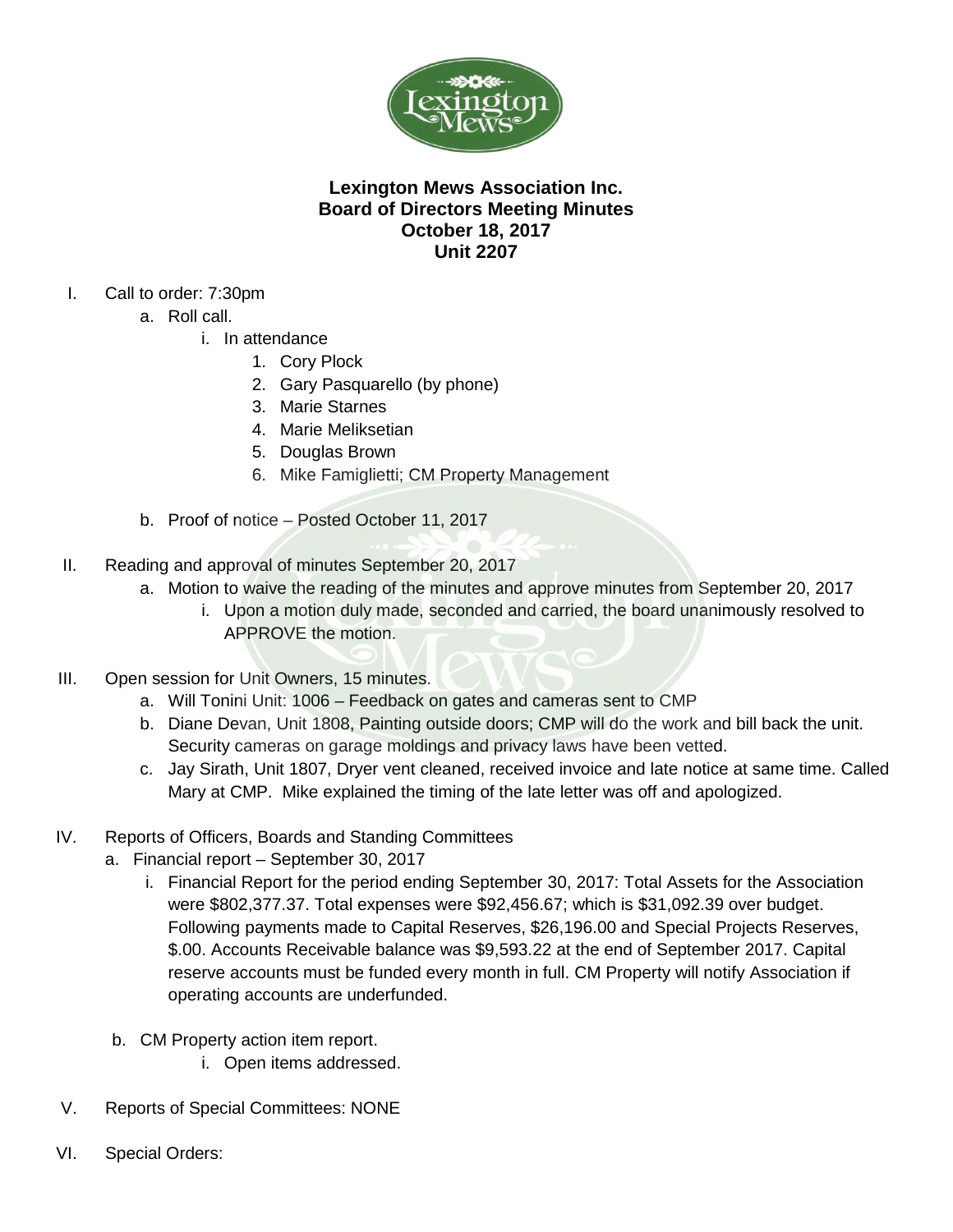

## **Lexington Mews Association Inc. Board of Directors Meeting Minutes October 18, 2017 Unit 2207**

- I. Call to order: 7:30pm
	- a. Roll call.
		- i. In attendance
			- 1. Cory Plock
			- 2. Gary Pasquarello (by phone)
			- 3. Marie Starnes
			- 4. Marie Meliksetian
			- 5. Douglas Brown
			- 6. Mike Famiglietti; CM Property Management
	- b. Proof of notice Posted October 11, 2017
- II. Reading and approval of minutes September 20, 2017
	- a. Motion to waive the reading of the minutes and approve minutes from September 20, 2017
		- i. Upon a motion duly made, seconded and carried, the board unanimously resolved to APPROVE the motion.
- III. Open session for Unit Owners, 15 minutes.
	- a. Will Tonini Unit: 1006 Feedback on gates and cameras sent to CMP
	- b. Diane Devan, Unit 1808, Painting outside doors; CMP will do the work and bill back the unit. Security cameras on garage moldings and privacy laws have been vetted.
	- c. Jay Sirath, Unit 1807, Dryer vent cleaned, received invoice and late notice at same time. Called Mary at CMP. Mike explained the timing of the late letter was off and apologized.
- IV. Reports of Officers, Boards and Standing Committees
	- a. Financial report September 30, 2017
		- i. Financial Report for the period ending September 30, 2017: Total Assets for the Association were \$802,377.37. Total expenses were \$92,456.67; which is \$31,092.39 over budget. Following payments made to Capital Reserves, \$26,196.00 and Special Projects Reserves, \$.00. Accounts Receivable balance was \$9,593.22 at the end of September 2017. Capital reserve accounts must be funded every month in full. CM Property will notify Association if operating accounts are underfunded.
	- b. CM Property action item report.
		- i. Open items addressed.
- V. Reports of Special Committees: NONE
- VI. Special Orders: